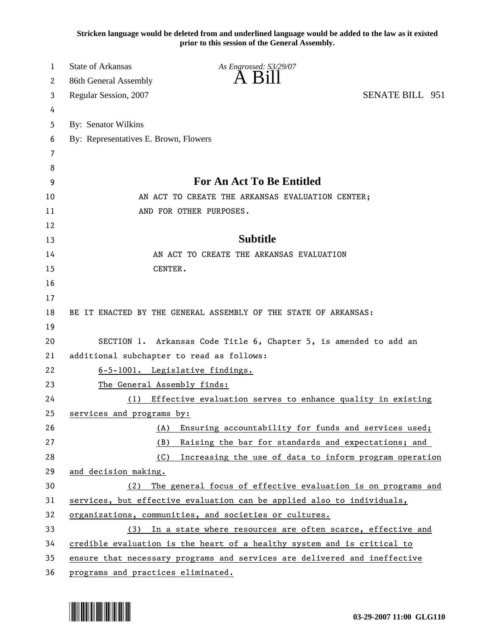**Stricken language would be deleted from and underlined language would be added to the law as it existed prior to this session of the General Assembly.**

| 1  | <b>State of Arkansas</b><br>As Engrossed: S3/29/07                        |  |
|----|---------------------------------------------------------------------------|--|
| 2  | A B11<br>86th General Assembly                                            |  |
| 3  | <b>SENATE BILL 951</b><br>Regular Session, 2007                           |  |
| 4  |                                                                           |  |
| 5  | By: Senator Wilkins                                                       |  |
| 6  | By: Representatives E. Brown, Flowers                                     |  |
| 7  |                                                                           |  |
| 8  |                                                                           |  |
| 9  | <b>For An Act To Be Entitled</b>                                          |  |
| 10 | AN ACT TO CREATE THE ARKANSAS EVALUATION CENTER;                          |  |
| 11 | AND FOR OTHER PURPOSES.                                                   |  |
| 12 |                                                                           |  |
| 13 | <b>Subtitle</b>                                                           |  |
| 14 | AN ACT TO CREATE THE ARKANSAS EVALUATION                                  |  |
| 15 | CENTER.                                                                   |  |
| 16 |                                                                           |  |
| 17 |                                                                           |  |
| 18 | BE IT ENACTED BY THE GENERAL ASSEMBLY OF THE STATE OF ARKANSAS:           |  |
| 19 |                                                                           |  |
| 20 | SECTION 1. Arkansas Code Title 6, Chapter 5, is amended to add an         |  |
| 21 | additional subchapter to read as follows:                                 |  |
| 22 | 6-5-1001. Legislative findings.                                           |  |
| 23 | The General Assembly finds:                                               |  |
| 24 | Effective evaluation serves to enhance quality in existing<br>(1)         |  |
| 25 | services and programs by:                                                 |  |
| 26 | Ensuring accountability for funds and services used;<br>(A)               |  |
| 27 | Raising the bar for standards and expectations; and<br>(B)                |  |
| 28 | (C)<br>Increasing the use of data to inform program operation             |  |
| 29 | and decision making.                                                      |  |
| 30 | The general focus of effective evaluation is on programs and<br>(2)       |  |
| 31 | services, but effective evaluation can be applied also to individuals,    |  |
| 32 | organizations, communities, and societies or cultures.                    |  |
| 33 | In a state where resources are often scarce, effective and<br>(3)         |  |
| 34 | credible evaluation is the heart of a healthy system and is critical to   |  |
| 35 | ensure that necessary programs and services are delivered and ineffective |  |
| 36 | programs and practices eliminated.                                        |  |

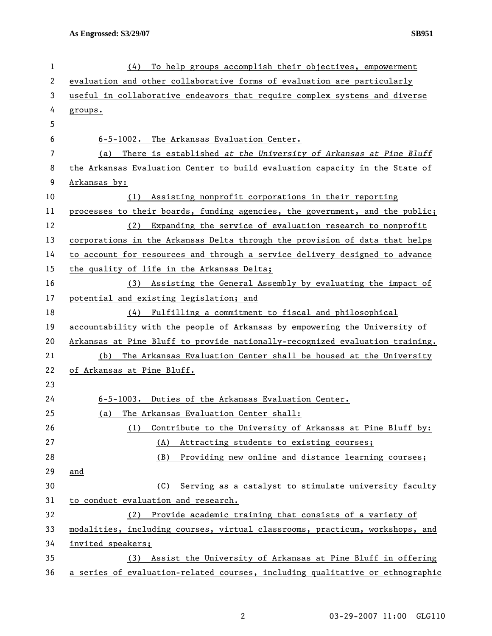| $\mathbf 1$ | To help groups accomplish their objectives, empowerment<br>(4)                |
|-------------|-------------------------------------------------------------------------------|
| 2           | evaluation and other collaborative forms of evaluation are particularly       |
| 3           | useful in collaborative endeavors that require complex systems and diverse    |
| 4           | groups.                                                                       |
| 5           |                                                                               |
| 6           | 6-5-1002. The Arkansas Evaluation Center.                                     |
| 7           | There is established at the University of Arkansas at Pine Bluff<br>(a)       |
| 8           | the Arkansas Evaluation Center to build evaluation capacity in the State of   |
| 9           | Arkansas by:                                                                  |
| 10          | Assisting nonprofit corporations in their reporting<br>(1)                    |
| 11          | processes to their boards, funding agencies, the government, and the public;  |
| 12          | Expanding the service of evaluation research to nonprofit<br>(2)              |
| 13          | corporations in the Arkansas Delta through the provision of data that helps   |
| 14          | to account for resources and through a service delivery designed to advance   |
| 15          | the quality of life in the Arkansas Delta;                                    |
| 16          | Assisting the General Assembly by evaluating the impact of<br>(3)             |
| 17          | potential and existing legislation; and                                       |
| 18          | (4)<br>Fulfilling a commitment to fiscal and philosophical                    |
| 19          | accountability with the people of Arkansas by empowering the University of    |
| 20          | Arkansas at Pine Bluff to provide nationally-recognized evaluation training.  |
| 21          | The Arkansas Evaluation Center shall be housed at the University<br>(b)       |
| 22          | of Arkansas at Pine Bluff.                                                    |
| 23          |                                                                               |
| 24          | 6-5-1003. Duties of the Arkansas Evaluation Center.                           |
| 25          | The Arkansas Evaluation Center shall:<br>(a)                                  |
| 26          | Contribute to the University of Arkansas at Pine Bluff by:<br>(1)             |
| 27          | (A)<br>Attracting students to existing courses;                               |
| 28          | (B)<br>Providing new online and distance learning courses;                    |
| 29          | and                                                                           |
| 30          | Serving as a catalyst to stimulate university faculty<br>(C)                  |
| 31          | to conduct evaluation and research.                                           |
| 32          | (2) Provide academic training that consists of a variety of                   |
| 33          | modalities, including courses, virtual classrooms, practicum, workshops, and  |
| 34          | invited speakers;                                                             |
| 35          | Assist the University of Arkansas at Pine Bluff in offering<br>(3)            |
| 36          | a series of evaluation-related courses, including qualitative or ethnographic |